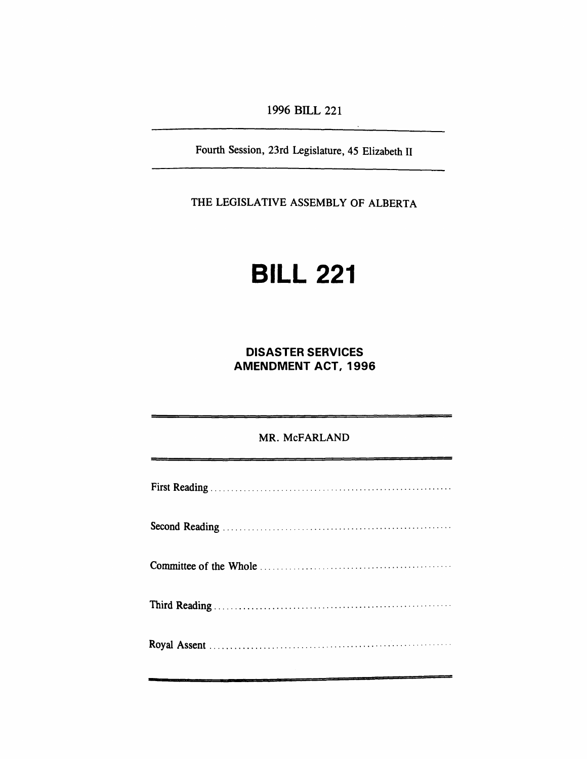*1996 BILL 221*

*Fourth Session, 23rd Legislature, 45 Elizabeth II*

*THE LEGISLATIVE ASSEMBLY OF ALBERTA*

## *BILL 221*

*DISASTER SERVICES AMENDMENT ACT, 1996*

*mr. McFarland*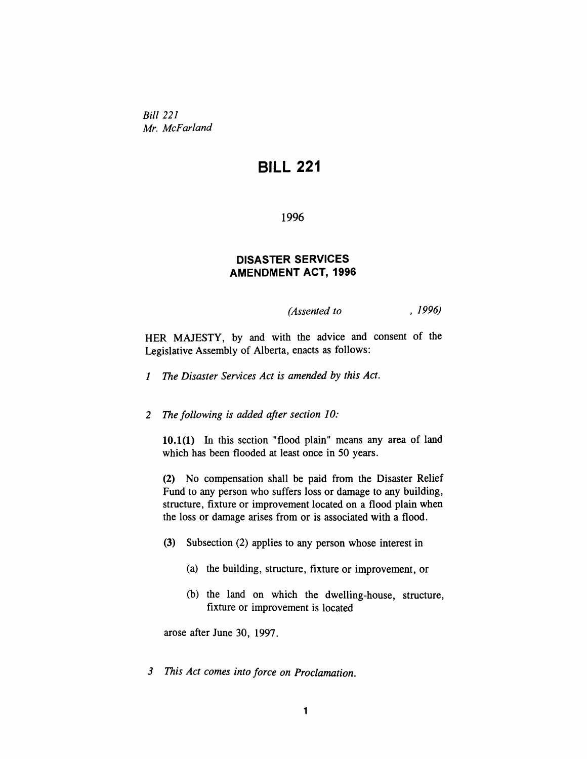*Bill 221 Mr. McFarland*

## *BILL 221*

*1996*

## *DISASTER SERVICES AMENDMENT ACT, 1996*

*(Assented to , 1996)*

*HER MAJESTY, by and with the advice and consent of the Legislative Assembly of Alberta, enacts as follows:*

- *1 The Disaster Services Act is amended by this Act.*
- *2 The following is added after section 10:*

*10.1(1) In this section "flood plain" means any area of land which has been flooded at least once in 50 years.*

*(2) No compensation shall be paid from the Disaster Relief Fund to any person who suffers loss or damage to any building, structure, fixture or improvement located on a flood plain when the loss or damage arises from or is associated with a flood.*

- *(3) Subsection (2) applies to any person whose interest in*
	- *(a) the building, structure, fixture or improvement, or*
	- *(b) the land on which the dwelling-house, structure, fixture or improvement is located*

*arose after June 30, 1997.*

*3 This Act comes into force on Proclamation.*